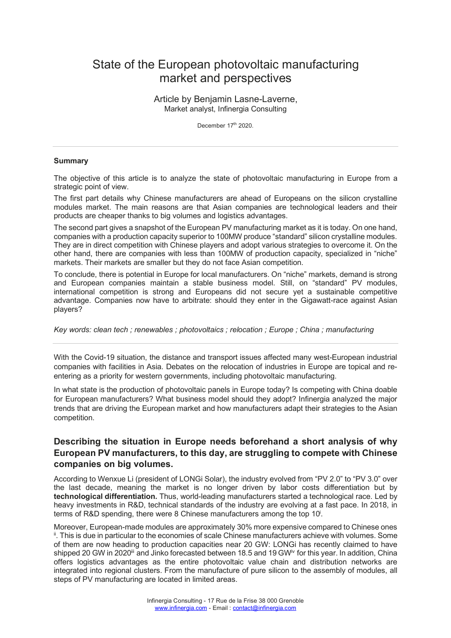# State of the European photovoltaic manufacturing market and perspectives

Article by Benjamin Lasne-Laverne, Market analyst, Infinergia Consulting

December 17th 2020.

#### **Summary**

The objective of this article is to analyze the state of photovoltaic manufacturing in Europe from a strategic point of view.

The first part details why Chinese manufacturers are ahead of Europeans on the silicon crystalline modules market. The main reasons are that Asian companies are technological leaders and their products are cheaper thanks to big volumes and logistics advantages.

The second part gives a snapshot of the European PV manufacturing market as it is today. On one hand, companies with a production capacity superior to 100MW produce "standard" silicon crystalline modules. They are in direct competition with Chinese players and adopt various strategies to overcome it. On the other hand, there are companies with less than 100MW of production capacity, specialized in "niche" markets. Their markets are smaller but they do not face Asian competition.

To conclude, there is potential in Europe for local manufacturers. On "niche" markets, demand is strong and European companies maintain a stable business model. Still, on "standard" PV modules, international competition is strong and Europeans did not secure yet a sustainable competitive advantage. Companies now have to arbitrate: should they enter in the Gigawatt-race against Asian players?

*Key words: clean tech ; renewables ; photovoltaics ; relocation ; Europe ; China ; manufacturing*

With the Covid-19 situation, the distance and transport issues affected many west-European industrial companies with facilities in Asia. Debates on the relocation of industries in Europe are topical and reentering as a priority for western governments, including photovoltaic manufacturing.

In what state is the production of photovoltaic panels in Europe today? Is competing with China doable for European manufacturers? What business model should they adopt? Infinergia analyzed the major trends that are driving the European market and how manufacturers adapt their strategies to the Asian competition.

# **Describing the situation in Europe needs beforehand a short analysis of why European PV manufacturers, to this day, are struggling to compete with Chinese companies on big volumes.**

According to Wenxue Li (president of LONGi Solar), the industry evolved from "PV 2.0" to "PV 3.0" over the last decade, meaning the market is no longer driven by labor costs differentiation but by **technological differentiation.** Thus, world-leading manufacturers started a technological race. Led by heavy investments in R&D, technical standards of the industry are evolving at a fast pace. In 2018, in terms of R&D spending, there were 8 Chinese manufacturers among the top 10<sup>i</sup>.

Moreover, European-made modules are approximately 30% more expensive compared to Chinese ones i. This is due in particular to the economies of scale Chinese manufacturers achieve with volumes. Some of them are now heading to production capacities near 20 GW: LONGi has recently claimed to have shipped 20 GW in 2020<sup>iii</sup> and Jinko forecasted between 18.5 and 19 GW<sup>iv</sup> for this year. In addition, China offers logistics advantages as the entire photovoltaic value chain and distribution networks are integrated into regional clusters. From the manufacture of pure silicon to the assembly of modules, all steps of PV manufacturing are located in limited areas.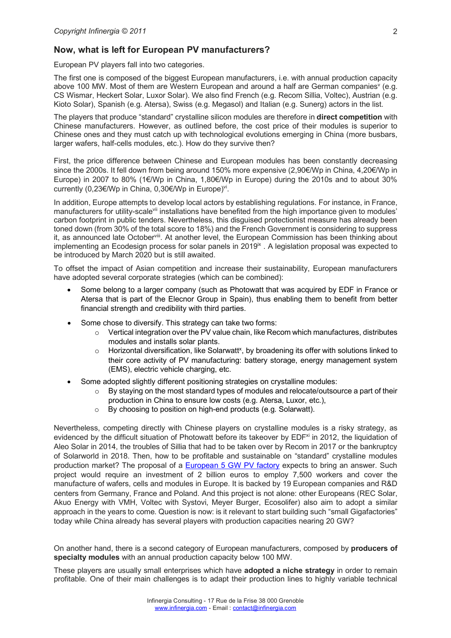### **Now, what is left for European PV manufacturers?**

European PV players fall into two categories.

The first one is composed of the biggest European manufacturers, i.e. with annual production capacity above 100 MW. Most of them are Western European and around a half are German companies<sup>v</sup> (e.g. CS Wismar, Heckert Solar, Luxor Solar). We also find French (e.g. Recom Sillia, Voltec), Austrian (e.g. Kioto Solar), Spanish (e.g. Atersa), Swiss (e.g. Megasol) and Italian (e.g. Sunerg) actors in the list.

The players that produce "standard" crystalline silicon modules are therefore in **direct competition** with Chinese manufacturers. However, as outlined before, the cost price of their modules is superior to Chinese ones and they must catch up with technological evolutions emerging in China (more busbars, larger wafers, half-cells modules, etc.). How do they survive then?

First, the price difference between Chinese and European modules has been constantly decreasing since the 2000s. It fell down from being around 150% more expensive (2,90€/Wp in China, 4,20€/Wp in Europe) in 2007 to 80% (1€/Wp in China, 1,80€/Wp in Europe) during the 2010s and to about 30% currently (0,23€/Wp in China, 0,30€/Wp in Europe)vi.

In addition, Europe attempts to develop local actors by establishing regulations. For instance, in France, manufacturers for utility-scalevii installations have benefited from the high importance given to modules' carbon footprint in public tenders. Nevertheless, this disguised protectionist measure has already been toned down (from 30% of the total score to 18%) and the French Government is considering to suppress it, as announced late Octoberviii. At another level, the European Commission has been thinking about implementing an Ecodesign process for solar panels in 2019<sup>\*</sup>. A legislation proposal was expected to be introduced by March 2020 but is still awaited.

To offset the impact of Asian competition and increase their sustainability, European manufacturers have adopted several corporate strategies (which can be combined):

- Some belong to a larger company (such as Photowatt that was acquired by EDF in France or Atersa that is part of the Elecnor Group in Spain), thus enabling them to benefit from better financial strength and credibility with third parties.
- Some chose to diversify. This strategy can take two forms:
	- $\circ$  Vertical integration over the PV value chain, like Recom which manufactures, distributes modules and installs solar plants.
	- $\circ$  Horizontal diversification, like Solarwatt<sup>x</sup>, by broadening its offer with solutions linked to their core activity of PV manufacturing: battery storage, energy management system (EMS), electric vehicle charging, etc.
- Some adopted slightly different positioning strategies on crystalline modules:
	- $\circ$  By staying on the most standard types of modules and relocate/outsource a part of their production in China to ensure low costs (e.g. Atersa, Luxor, etc.),
	- o By choosing to position on high-end products (e.g. Solarwatt).

Nevertheless, competing directly with Chinese players on crystalline modules is a risky strategy, as evidenced by the difficult situation of Photowatt before its takeover by EDF<sup>xi</sup> in 2012, the liquidation of Aleo Solar in 2014, the troubles of Sillia that had to be taken over by Recom in 2017 or the bankruptcy of Solarworld in 2018. Then, how to be profitable and sustainable on "standard" crystalline modules production market? The proposal of a European 5 GW PV factory expects to bring an answer. Such project would require an investment of 2 billion euros to employ 7,500 workers and cover the manufacture of wafers, cells and modules in Europe. It is backed by 19 European companies and R&D centers from Germany, France and Poland. And this project is not alone: other Europeans (REC Solar, Akuo Energy with VMH, Voltec with Systovi, Meyer Burger, Ecosolifer) also aim to adopt a similar approach in the years to come. Question is now: is it relevant to start building such "small Gigafactories" today while China already has several players with production capacities nearing 20 GW?

On another hand, there is a second category of European manufacturers, composed by **producers of specialty modules** with an annual production capacity below 100 MW.

These players are usually small enterprises which have **adopted a niche strategy** in order to remain profitable. One of their main challenges is to adapt their production lines to highly variable technical